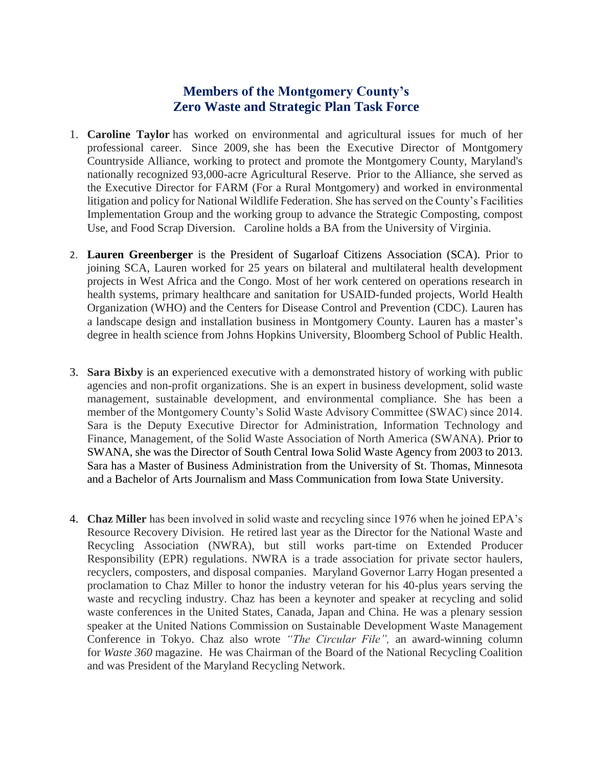## **Members of the Montgomery County's Zero Waste and Strategic Plan Task Force**

- 1. **Caroline Taylor** has worked on environmental and agricultural issues for much of her professional career. Since 2009, she has been the Executive Director of Montgomery Countryside Alliance, working to protect and promote the Montgomery County, Maryland's nationally recognized 93,000-acre Agricultural Reserve. Prior to the Alliance, she served as the Executive Director for FARM (For a Rural Montgomery) and worked in environmental litigation and policy for National Wildlife Federation. She has served on the County's Facilities Implementation Group and the working group to advance the Strategic Composting, compost Use, and Food Scrap Diversion. Caroline holds a BA from the University of Virginia.
- 2. **Lauren Greenberger** is the President of Sugarloaf Citizens Association (SCA). Prior to joining SCA, Lauren worked for 25 years on bilateral and multilateral health development projects in West Africa and the Congo. Most of her work centered on operations research in health systems, primary healthcare and sanitation for USAID-funded projects, World Health Organization (WHO) and the Centers for Disease Control and Prevention (CDC). Lauren has a landscape design and installation business in Montgomery County. Lauren has a master's degree in health science from Johns Hopkins University, Bloomberg School of Public Health.
- 3. **Sara Bixby** is an experienced executive with a demonstrated history of working with public agencies and non-profit organizations. She is an expert in business development, solid waste management, sustainable development, and environmental compliance. She has been a member of the Montgomery County's Solid Waste Advisory Committee (SWAC) since 2014. Sara is the Deputy Executive Director for Administration, Information Technology and Finance, Management, of the Solid Waste Association of North America (SWANA). Prior to SWANA, she was the Director of South Central Iowa Solid Waste Agency from 2003 to 2013. Sara has a Master of Business Administration from the University of St. Thomas, Minnesota and a Bachelor of Arts Journalism and Mass Communication from Iowa State University.
- 4. **Chaz Miller** has been involved in solid waste and recycling since 1976 when he joined EPA's Resource Recovery Division. He retired last year as the Director for the National Waste and Recycling Association (NWRA), but still works part-time on Extended Producer Responsibility (EPR) regulations. NWRA is a trade association for private sector haulers, recyclers, composters, and disposal companies. Maryland Governor Larry Hogan presented a proclamation to Chaz Miller to honor the industry veteran for his 40-plus years serving the waste and recycling industry. Chaz has been a keynoter and speaker at recycling and solid waste conferences in the United States, Canada, Japan and China. He was a plenary session speaker at the United Nations Commission on Sustainable Development Waste Management Conference in Tokyo. Chaz also wrote *"The Circular File",* an award-winning column for *Waste 360* magazine. He was Chairman of the Board of the National Recycling Coalition and was President of the Maryland Recycling Network.